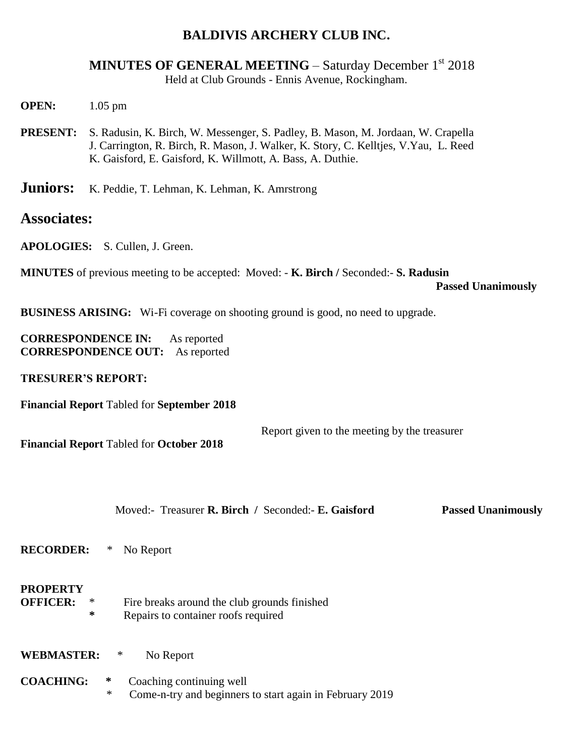## **BALDIVIS ARCHERY CLUB INC.**

**MINUTES OF GENERAL MEETING – Saturday December 1<sup>st</sup> 2018** Held at Club Grounds - Ennis Avenue, Rockingham.

- **OPEN:** 1.05 pm
- **PRESENT:** S. Radusin, K. Birch, W. Messenger, S. Padley, B. Mason, M. Jordaan, W. Crapella J. Carrington, R. Birch, R. Mason, J. Walker, K. Story, C. Kelltjes, V.Yau, L. Reed K. Gaisford, E. Gaisford, K. Willmott, A. Bass, A. Duthie.
- Juniors: K. Peddie, T. Lehman, K. Lehman, K. Amrstrong

## **Associates:**

**APOLOGIES:** S. Cullen, J. Green.

**MINUTES** of previous meeting to be accepted: Moved: - **K. Birch /** Seconded:- **S. Radusin**

 **Passed Unanimously** 

**BUSINESS ARISING:** Wi-Fi coverage on shooting ground is good, no need to upgrade.

**CORRESPONDENCE IN:** As reported **CORRESPONDENCE OUT:** As reported

**TRESURER'S REPORT:**

**Financial Report** Tabled for **September 2018**

Report given to the meeting by the treasurer

**Financial Report** Tabled for **October 2018**

Moved:- Treasurer **R. Birch /** Seconded:- **E. Gaisford Passed Unanimously** 

**RECORDER:** \* No Report

## **PROPERTY**

- **OFFICER:** \* Fire breaks around the club grounds finished **\*** Repairs to container roofs required
- **WEBMASTER:** \* No Report
- **COACHING: \*** Coaching continuing well Come-n-try and beginners to start again in February 2019